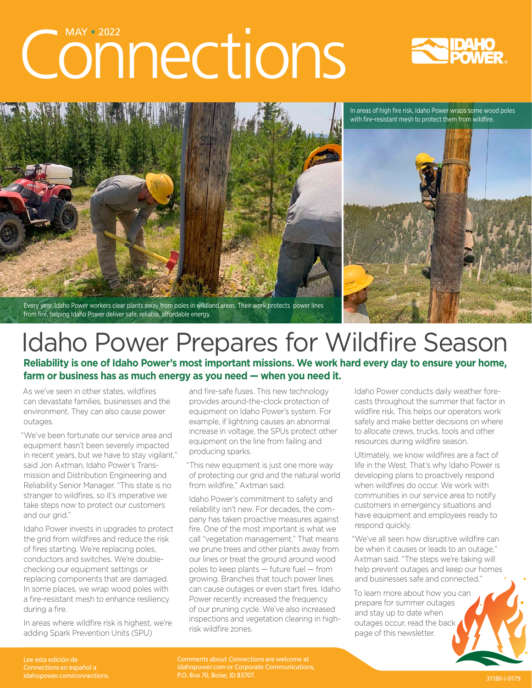# Connections





from fire, helping Idaho Power deliver safe, reliable, affordable energy.

## Idaho Power Prepares for Wildfire Season

**Reliability is one of Idaho Power's most important missions. We work hard every day to ensure your home, farm or business has as much energy as you need — when you need it.**

As we've seen in other states, wildfires can devastate families, businesses and the environment. They can also cause power outages.

"We've been fortunate our service area and equipment hasn't been severely impacted in recent years, but we have to stay vigilant," said Jon Axtman, Idaho Power's Transmission and Distribution Engineering and Reliability Senior Manager. "This state is no stranger to wildfires, so it's imperative we take steps now to protect our customers and our grid."

Idaho Power invests in upgrades to protect the grid from wildfires and reduce the risk of fires starting. We're replacing poles, conductors and switches. We're doublechecking our equipment settings or replacing components that are damaged. In some places, we wrap wood poles with a fire-resistant mesh to enhance resiliency during a fire.

In areas where wildfire risk is highest, we're adding Spark Prevention Units (SPU)

and fire-safe fuses. This new technology provides around-the-clock protection of equipment on Idaho Power's system. For example, if lightning causes an abnormal increase in voltage, the SPUs protect other equipment on the line from failing and producing sparks.

"This new equipment is just one more way of protecting our grid and the natural world from wildfire," Axtman said.

Idaho Power's commitment to safety and reliability isn't new. For decades, the company has taken proactive measures against fire. One of the most important is what we call "vegetation management." That means we prune trees and other plants away from our lines or treat the ground around wood poles to keep plants — future fuel — from growing. Branches that touch power lines can cause outages or even start fires. Idaho Power recently increased the frequency of our pruning cycle. We've also increased inspections and vegetation clearing in highrisk wildfire zones.

Idaho Power conducts daily weather forecasts throughout the summer that factor in wildfire risk. This helps our operators work safely and make better decisions on where to allocate crews, trucks, tools and other resources during wildfire season.

Ultimately, we know wildfires are a fact of life in the West. That's why Idaho Power is developing plans to proactively respond when wildfires do occur. We work with communities in our service area to notify customers in emergency situations and have equipment and employees ready to respond quickly.

"We've all seen how disruptive wildfire can be when it causes or leads to an outage," Axtman said. "The steps we're taking will help prevent outages and keep our homes and businesses safe and connected."

To learn more about how you can prepare for summer outages and stay up to date when outages occur, read the back page of this newsletter.

Lee esta edición de Connections en español a

Comments about Connections are welcome at [idahopower.com](https://www.idahopower.com/) or Corporate Communications, P.O. Box 70, Boise, ID 83707. [idahopower.com/connections](mailto:https://www.idahopower.com/news/category/connections/?subject=). 31180-I-0179